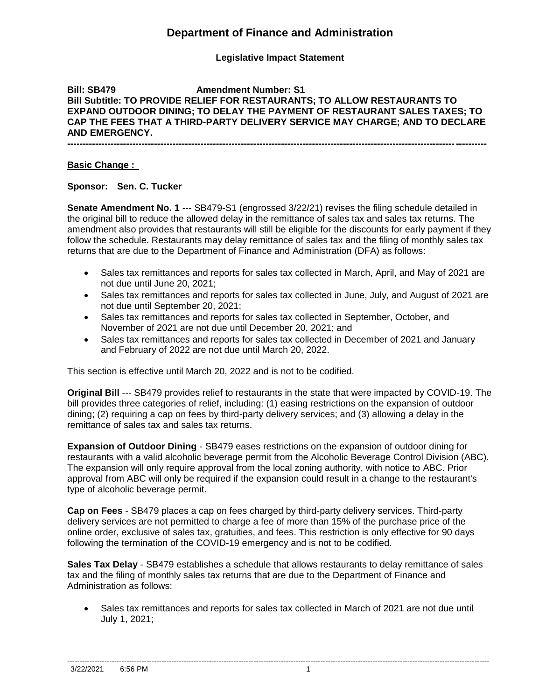# **Department of Finance and Administration**

## **Legislative Impact Statement**

#### **Bill: SB479 Amendment Number: S1 Bill Subtitle: TO PROVIDE RELIEF FOR RESTAURANTS; TO ALLOW RESTAURANTS TO EXPAND OUTDOOR DINING; TO DELAY THE PAYMENT OF RESTAURANT SALES TAXES; TO CAP THE FEES THAT A THIRD-PARTY DELIVERY SERVICE MAY CHARGE; AND TO DECLARE AND EMERGENCY. ---------------------------------------------------------------------------------------------------------------------------------------**

#### **Basic Change :**

#### **Sponsor: Sen. C. Tucker**

**Senate Amendment No. 1 --- SB479-S1 (engrossed 3/22/21) revises the filing schedule detailed in** the original bill to reduce the allowed delay in the remittance of sales tax and sales tax returns. The amendment also provides that restaurants will still be eligible for the discounts for early payment if they follow the schedule. Restaurants may delay remittance of sales tax and the filing of monthly sales tax returns that are due to the Department of Finance and Administration (DFA) as follows:

- Sales tax remittances and reports for sales tax collected in March, April, and May of 2021 are not due until June 20, 2021;
- Sales tax remittances and reports for sales tax collected in June, July, and August of 2021 are not due until September 20, 2021;
- Sales tax remittances and reports for sales tax collected in September, October, and November of 2021 are not due until December 20, 2021; and
- Sales tax remittances and reports for sales tax collected in December of 2021 and January and February of 2022 are not due until March 20, 2022.

This section is effective until March 20, 2022 and is not to be codified.

**Original Bill** --- SB479 provides relief to restaurants in the state that were impacted by COVID-19. The bill provides three categories of relief, including: (1) easing restrictions on the expansion of outdoor dining; (2) requiring a cap on fees by third-party delivery services; and (3) allowing a delay in the remittance of sales tax and sales tax returns.

**Expansion of Outdoor Dining** - SB479 eases restrictions on the expansion of outdoor dining for restaurants with a valid alcoholic beverage permit from the Alcoholic Beverage Control Division (ABC). The expansion will only require approval from the local zoning authority, with notice to ABC. Prior approval from ABC will only be required if the expansion could result in a change to the restaurant's type of alcoholic beverage permit.

**Cap on Fees** - SB479 places a cap on fees charged by third-party delivery services. Third-party delivery services are not permitted to charge a fee of more than 15% of the purchase price of the online order, exclusive of sales tax, gratuities, and fees. This restriction is only effective for 90 days following the termination of the COVID-19 emergency and is not to be codified.

**Sales Tax Delay** - SB479 establishes a schedule that allows restaurants to delay remittance of sales tax and the filing of monthly sales tax returns that are due to the Department of Finance and Administration as follows:

 Sales tax remittances and reports for sales tax collected in March of 2021 are not due until July 1, 2021;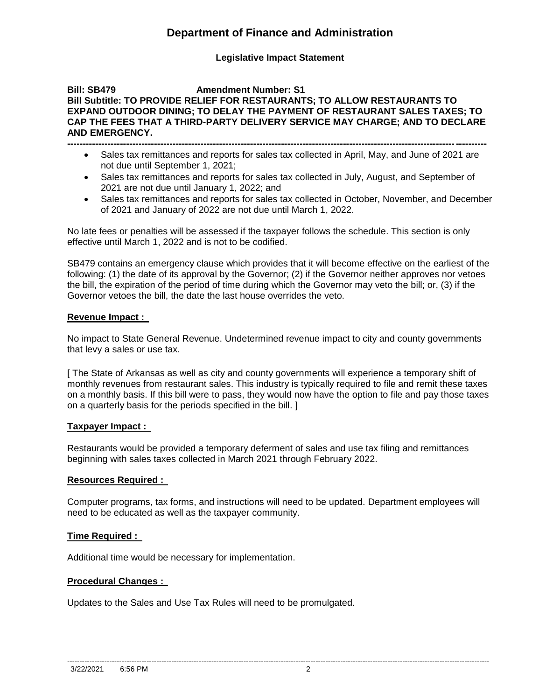# **Department of Finance and Administration**

## **Legislative Impact Statement**

#### **Bill: SB479 Amendment Number: S1 Bill Subtitle: TO PROVIDE RELIEF FOR RESTAURANTS; TO ALLOW RESTAURANTS TO EXPAND OUTDOOR DINING; TO DELAY THE PAYMENT OF RESTAURANT SALES TAXES; TO CAP THE FEES THAT A THIRD-PARTY DELIVERY SERVICE MAY CHARGE; AND TO DECLARE AND EMERGENCY. ---------------------------------------------------------------------------------------------------------------------------------------**

- Sales tax remittances and reports for sales tax collected in April, May, and June of 2021 are not due until September 1, 2021;
- Sales tax remittances and reports for sales tax collected in July, August, and September of 2021 are not due until January 1, 2022; and
- Sales tax remittances and reports for sales tax collected in October, November, and December of 2021 and January of 2022 are not due until March 1, 2022.

No late fees or penalties will be assessed if the taxpayer follows the schedule. This section is only effective until March 1, 2022 and is not to be codified.

SB479 contains an emergency clause which provides that it will become effective on the earliest of the following: (1) the date of its approval by the Governor; (2) if the Governor neither approves nor vetoes the bill, the expiration of the period of time during which the Governor may veto the bill; or, (3) if the Governor vetoes the bill, the date the last house overrides the veto.

## **Revenue Impact :**

No impact to State General Revenue. Undetermined revenue impact to city and county governments that levy a sales or use tax.

[ The State of Arkansas as well as city and county governments will experience a temporary shift of monthly revenues from restaurant sales. This industry is typically required to file and remit these taxes on a monthly basis. If this bill were to pass, they would now have the option to file and pay those taxes on a quarterly basis for the periods specified in the bill. ]

## **Taxpayer Impact :**

Restaurants would be provided a temporary deferment of sales and use tax filing and remittances beginning with sales taxes collected in March 2021 through February 2022.

## **Resources Required :**

Computer programs, tax forms, and instructions will need to be updated. Department employees will need to be educated as well as the taxpayer community.

## **Time Required :**

Additional time would be necessary for implementation.

## **Procedural Changes :**

Updates to the Sales and Use Tax Rules will need to be promulgated.